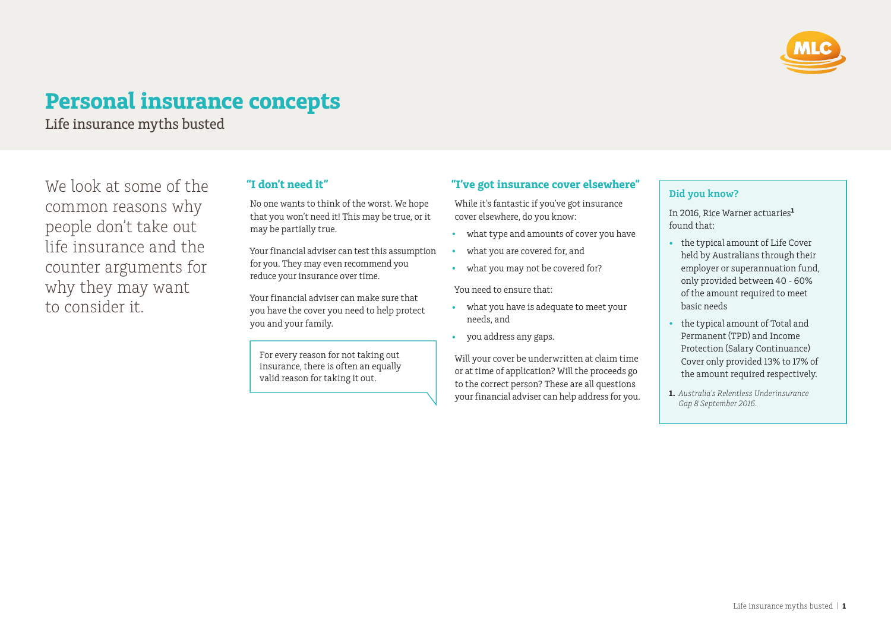

# **Personal insurance concepts**

Life insurance myths busted

We look at some of the common reasons why people don't take out life insurance and the counter arguments for why they may want to consider it.

## **"I don't need it"**

No one wants to think of the worst. We hope that you won't need it! This may be true, or it may be partially true.

Your financial adviser can test this assumption for you. They may even recommend you reduce your insurance over time.

Your financial adviser can make sure that you have the cover you need to help protect you and your family.

For every reason for not taking out insurance, there is often an equally valid reason for taking it out.

## **"I've got insurance cover elsewhere"**

While it's fantastic if you've got insurance cover elsewhere, do you know:

- what type and amounts of cover you have
- what you are covered for, and
- what you may not be covered for?

You need to ensure that:

- what you have is adequate to meet your needs, and
- you address any gaps.

Will your cover be underwritten at claim time or at time of application? Will the proceeds go to the correct person? These are all questions your financial adviser can help address for you.

## **Did you know?**

In 2016, Rice Warner actuaries**<sup>1</sup>** found that:

- the typical amount of Life Cover held by Australians through their employer or superannuation fund, only provided between 40 - 60% of the amount required to meet basic needs
- the typical amount of Total and Permanent (TPD) and Income Protection (Salary Continuance) Cover only provided 13% to 17% of the amount required respectively.
- **1.** *Australia's Relentless Underinsurance Gap 8 September 2016.*